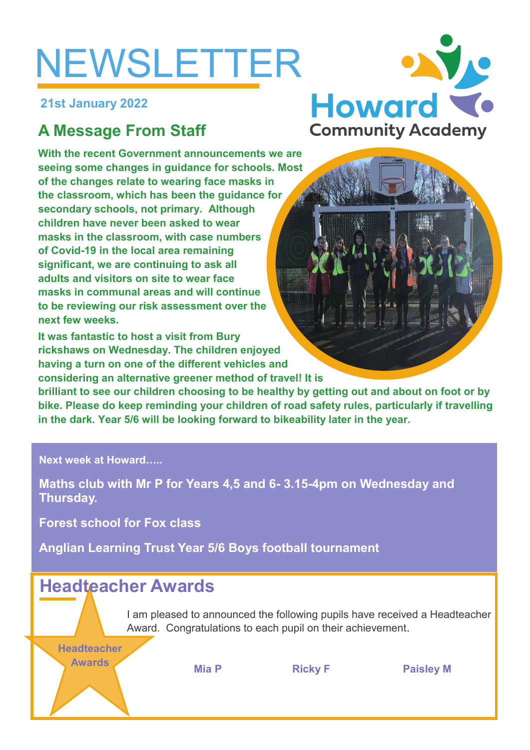# NEWSLETTER

**21st January 2022**

# **A Message From Staff**

**With the recent Government announcements we are seeing some changes in guidance for schools. Most of the changes relate to wearing face masks in the classroom, which has been the guidance for secondary schools, not primary. Although children have never been asked to wear masks in the classroom, with case numbers of Covid-19 in the local area remaining significant, we are continuing to ask all adults and visitors on site to wear face masks in communal areas and will continue to be reviewing our risk assessment over the next few weeks.**

**It was fantastic to host a visit from Bury rickshaws on Wednesday. The children enjoyed having a turn on one of the different vehicles and considering an alternative greener method of travel! It is** 

**brilliant to see our children choosing to be healthy by getting out and about on foot or by bike. Please do keep reminding your children of road safety rules, particularly if travelling in the dark. Year 5/6 will be looking forward to bikeability later in the year.**

**Next week at Howard…..**

**Maths club with Mr P for Years 4,5 and 6- 3.15-4pm on Wednesday and Thursday.**

**Forest school for Fox class**

**Anglian Learning Trust Year 5/6 Boys football tournament**

# **Headteacher Awards**

I am pleased to announced the following pupils have received a Headteacher Award. Congratulations to each pupil on their achievement.

**Headteacher** 

**Awards Mia P Ricky F Paisley M**